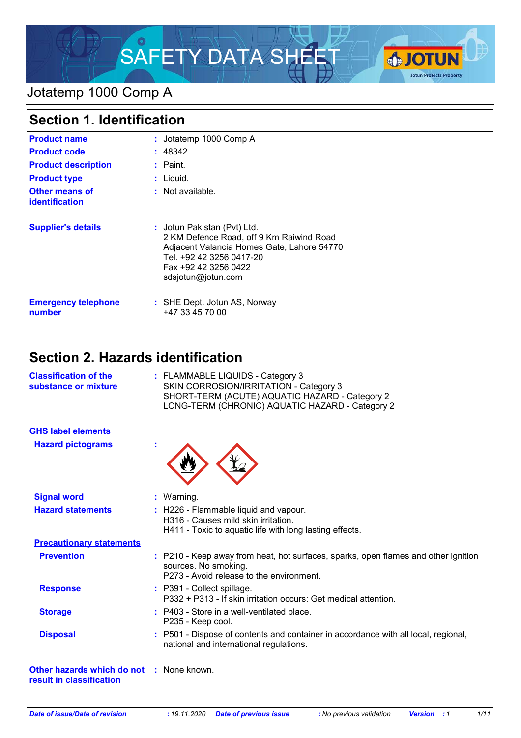

## Jotatemp 1000 Comp A

| <b>Section 1. Identification</b>        |                                                                                                                                                                                                 |  |  |
|-----------------------------------------|-------------------------------------------------------------------------------------------------------------------------------------------------------------------------------------------------|--|--|
| <b>Product name</b>                     | : Jotatemp 1000 Comp A                                                                                                                                                                          |  |  |
| <b>Product code</b>                     | : 48342                                                                                                                                                                                         |  |  |
| <b>Product description</b>              | $:$ Paint.                                                                                                                                                                                      |  |  |
| <b>Product type</b>                     | $:$ Liquid.                                                                                                                                                                                     |  |  |
| Other means of<br><b>identification</b> | $:$ Not available.                                                                                                                                                                              |  |  |
| <b>Supplier's details</b>               | : Jotun Pakistan (Pvt) Ltd.<br>2 KM Defence Road, off 9 Km Raiwind Road<br>Adjacent Valancia Homes Gate, Lahore 54770<br>Tel. +92 42 3256 0417-20<br>Fax +92 42 3256 0422<br>sdsjotun@jotun.com |  |  |
| <b>Emergency telephone</b><br>number    | : SHE Dept. Jotun AS, Norway<br>+47 33 45 70 00                                                                                                                                                 |  |  |

# **Section 2. Hazards identification**

| <b>Classification of the</b><br>substance or mixture                        | : FLAMMABLE LIQUIDS - Category 3<br>SKIN CORROSION/IRRITATION - Category 3<br>SHORT-TERM (ACUTE) AQUATIC HAZARD - Category 2<br>LONG-TERM (CHRONIC) AQUATIC HAZARD - Category 2 |
|-----------------------------------------------------------------------------|---------------------------------------------------------------------------------------------------------------------------------------------------------------------------------|
| <b>GHS label elements</b>                                                   |                                                                                                                                                                                 |
| <b>Hazard pictograms</b>                                                    |                                                                                                                                                                                 |
| <b>Signal word</b>                                                          | : Warning.                                                                                                                                                                      |
| <b>Hazard statements</b>                                                    | : H226 - Flammable liquid and vapour.<br>H316 - Causes mild skin irritation.<br>H411 - Toxic to aquatic life with long lasting effects.                                         |
| <b>Precautionary statements</b>                                             |                                                                                                                                                                                 |
| <b>Prevention</b>                                                           | : P210 - Keep away from heat, hot surfaces, sparks, open flames and other ignition<br>sources. No smoking.<br>P273 - Avoid release to the environment.                          |
| <b>Response</b>                                                             | : P391 - Collect spillage.<br>P332 + P313 - If skin irritation occurs: Get medical attention.                                                                                   |
| <b>Storage</b>                                                              | : P403 - Store in a well-ventilated place.<br>P235 - Keep cool.                                                                                                                 |
| <b>Disposal</b>                                                             | P501 - Dispose of contents and container in accordance with all local, regional,<br>national and international regulations.                                                     |
| <b>Other hazards which do not : None known.</b><br>result in classification |                                                                                                                                                                                 |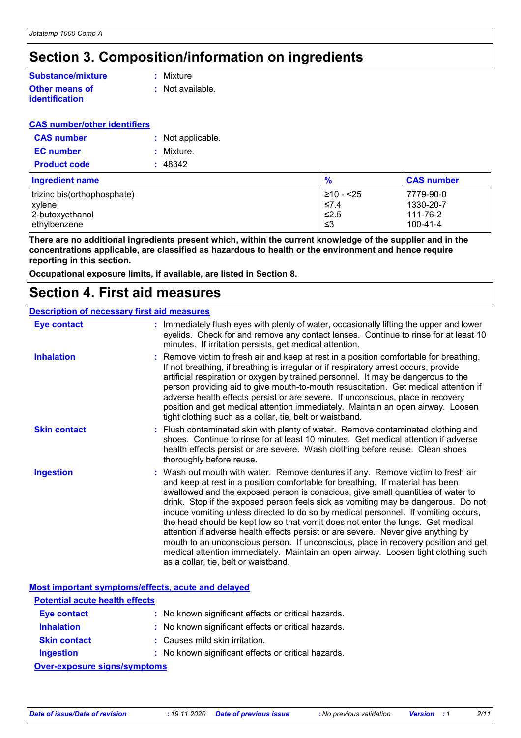# **Section 3. Composition/information on ingredients**

#### **Other means of Substance/mixture**

**identification**

**:** Mixture

**:** Not available.

## **CAS number/other identifiers**

| <b>CAS number</b>   | : Not applicable. |
|---------------------|-------------------|
| <b>EC</b> number    | : Mixture.        |
| <b>Product code</b> | : 48342           |

| <b>Ingredient name</b>      | $\frac{9}{6}$ | <b>CAS number</b> |
|-----------------------------|---------------|-------------------|
| trizinc bis(orthophosphate) | 1≥10 - <25    | 7779-90-0         |
| xylene                      | $\leq 7.4$    | 1330-20-7         |
| 2-butoxyethanol             | 52.5≥         | l 111-76-2        |
| ethylbenzene                | ו≥ ≥          | 100-41-4          |

**There are no additional ingredients present which, within the current knowledge of the supplier and in the concentrations applicable, are classified as hazardous to health or the environment and hence require reporting in this section.**

**Occupational exposure limits, if available, are listed in Section 8.**

## **Section 4. First aid measures**

#### **Description of necessary first aid measures**

| <b>Eye contact</b>  | : Immediately flush eyes with plenty of water, occasionally lifting the upper and lower<br>eyelids. Check for and remove any contact lenses. Continue to rinse for at least 10<br>minutes. If irritation persists, get medical attention.                                                                                                                                                                                                                                                                                                                                                                                                                                                                                                                                                                                    |
|---------------------|------------------------------------------------------------------------------------------------------------------------------------------------------------------------------------------------------------------------------------------------------------------------------------------------------------------------------------------------------------------------------------------------------------------------------------------------------------------------------------------------------------------------------------------------------------------------------------------------------------------------------------------------------------------------------------------------------------------------------------------------------------------------------------------------------------------------------|
| <b>Inhalation</b>   | : Remove victim to fresh air and keep at rest in a position comfortable for breathing.<br>If not breathing, if breathing is irregular or if respiratory arrest occurs, provide<br>artificial respiration or oxygen by trained personnel. It may be dangerous to the<br>person providing aid to give mouth-to-mouth resuscitation. Get medical attention if<br>adverse health effects persist or are severe. If unconscious, place in recovery<br>position and get medical attention immediately. Maintain an open airway. Loosen<br>tight clothing such as a collar, tie, belt or waistband.                                                                                                                                                                                                                                 |
| <b>Skin contact</b> | : Flush contaminated skin with plenty of water. Remove contaminated clothing and<br>shoes. Continue to rinse for at least 10 minutes. Get medical attention if adverse<br>health effects persist or are severe. Wash clothing before reuse. Clean shoes<br>thoroughly before reuse.                                                                                                                                                                                                                                                                                                                                                                                                                                                                                                                                          |
| <b>Ingestion</b>    | : Wash out mouth with water. Remove dentures if any. Remove victim to fresh air<br>and keep at rest in a position comfortable for breathing. If material has been<br>swallowed and the exposed person is conscious, give small quantities of water to<br>drink. Stop if the exposed person feels sick as vomiting may be dangerous. Do not<br>induce vomiting unless directed to do so by medical personnel. If vomiting occurs,<br>the head should be kept low so that vomit does not enter the lungs. Get medical<br>attention if adverse health effects persist or are severe. Never give anything by<br>mouth to an unconscious person. If unconscious, place in recovery position and get<br>medical attention immediately. Maintain an open airway. Loosen tight clothing such<br>as a collar, tie, belt or waistband. |

|                                       | Most important symptoms/effects, acute and delayed  |  |  |  |
|---------------------------------------|-----------------------------------------------------|--|--|--|
| <b>Potential acute health effects</b> |                                                     |  |  |  |
| Eye contact                           | : No known significant effects or critical hazards. |  |  |  |
| <b>Inhalation</b>                     | : No known significant effects or critical hazards. |  |  |  |
| <b>Skin contact</b>                   | : Causes mild skin irritation.                      |  |  |  |
| <b>Ingestion</b>                      | : No known significant effects or critical hazards. |  |  |  |
| <b>Over-exposure signs/symptoms</b>   |                                                     |  |  |  |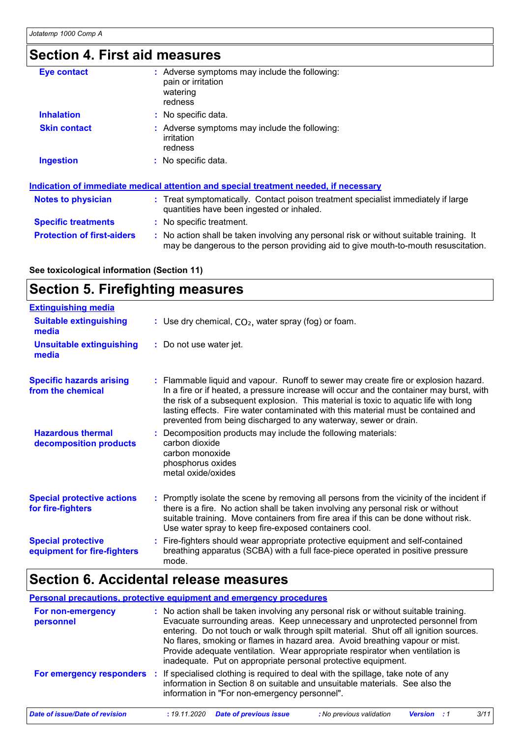# **Section 4. First aid measures**

| <b>Eye contact</b>                | : Adverse symptoms may include the following:<br>pain or irritation<br>watering<br>redness                                                                                    |
|-----------------------------------|-------------------------------------------------------------------------------------------------------------------------------------------------------------------------------|
| <b>Inhalation</b>                 | : No specific data.                                                                                                                                                           |
| <b>Skin contact</b>               | : Adverse symptoms may include the following:<br><i>irritation</i><br>redness                                                                                                 |
| <b>Ingestion</b>                  | : No specific data.                                                                                                                                                           |
|                                   | Indication of immediate medical attention and special treatment needed, if necessary                                                                                          |
| <b>Notes to physician</b>         | : Treat symptomatically. Contact poison treatment specialist immediately if large<br>quantities have been ingested or inhaled.                                                |
| <b>Specific treatments</b>        | : No specific treatment.                                                                                                                                                      |
| <b>Protection of first-aiders</b> | : No action shall be taken involving any personal risk or without suitable training. It<br>may be dangerous to the person providing aid to give mouth-to-mouth resuscitation. |

**See toxicological information (Section 11)**

# **Section 5. Firefighting measures**

| <b>Extinguishing media</b>                               |                                                                                                                                                                                                                                                                                                                                                                                                                                  |
|----------------------------------------------------------|----------------------------------------------------------------------------------------------------------------------------------------------------------------------------------------------------------------------------------------------------------------------------------------------------------------------------------------------------------------------------------------------------------------------------------|
| <b>Suitable extinguishing</b><br>media                   | : Use dry chemical, $CO2$ , water spray (fog) or foam.                                                                                                                                                                                                                                                                                                                                                                           |
| <b>Unsuitable extinguishing</b><br>media                 | : Do not use water jet.                                                                                                                                                                                                                                                                                                                                                                                                          |
| <b>Specific hazards arising</b><br>from the chemical     | : Flammable liquid and vapour. Runoff to sewer may create fire or explosion hazard.<br>In a fire or if heated, a pressure increase will occur and the container may burst, with<br>the risk of a subsequent explosion. This material is toxic to aquatic life with long<br>lasting effects. Fire water contaminated with this material must be contained and<br>prevented from being discharged to any waterway, sewer or drain. |
| <b>Hazardous thermal</b><br>decomposition products       | : Decomposition products may include the following materials:<br>carbon dioxide<br>carbon monoxide<br>phosphorus oxides<br>metal oxide/oxides                                                                                                                                                                                                                                                                                    |
| <b>Special protective actions</b><br>for fire-fighters   | : Promptly isolate the scene by removing all persons from the vicinity of the incident if<br>there is a fire. No action shall be taken involving any personal risk or without<br>suitable training. Move containers from fire area if this can be done without risk.<br>Use water spray to keep fire-exposed containers cool.                                                                                                    |
| <b>Special protective</b><br>equipment for fire-fighters | : Fire-fighters should wear appropriate protective equipment and self-contained<br>breathing apparatus (SCBA) with a full face-piece operated in positive pressure<br>mode.                                                                                                                                                                                                                                                      |

# **Section 6. Accidental release measures**

|                                       | <b>Personal precautions, protective equipment and emergency procedures</b>                                                                                                                                                                                                                                                                                                                                                                                                                     |
|---------------------------------------|------------------------------------------------------------------------------------------------------------------------------------------------------------------------------------------------------------------------------------------------------------------------------------------------------------------------------------------------------------------------------------------------------------------------------------------------------------------------------------------------|
| For non-emergency<br>personnel        | : No action shall be taken involving any personal risk or without suitable training.<br>Evacuate surrounding areas. Keep unnecessary and unprotected personnel from<br>entering. Do not touch or walk through spilt material. Shut off all ignition sources.<br>No flares, smoking or flames in hazard area. Avoid breathing vapour or mist.<br>Provide adequate ventilation. Wear appropriate respirator when ventilation is<br>inadequate. Put on appropriate personal protective equipment. |
|                                       | <b>For emergency responders</b> : If specialised clothing is required to deal with the spillage, take note of any<br>information in Section 8 on suitable and unsuitable materials. See also the<br>information in "For non-emergency personnel".                                                                                                                                                                                                                                              |
| <b>Date of issue/Date of revision</b> | 3/11<br><b>Date of previous issue</b><br>: 19.11.2020<br>: No previous validation<br>Version                                                                                                                                                                                                                                                                                                                                                                                                   |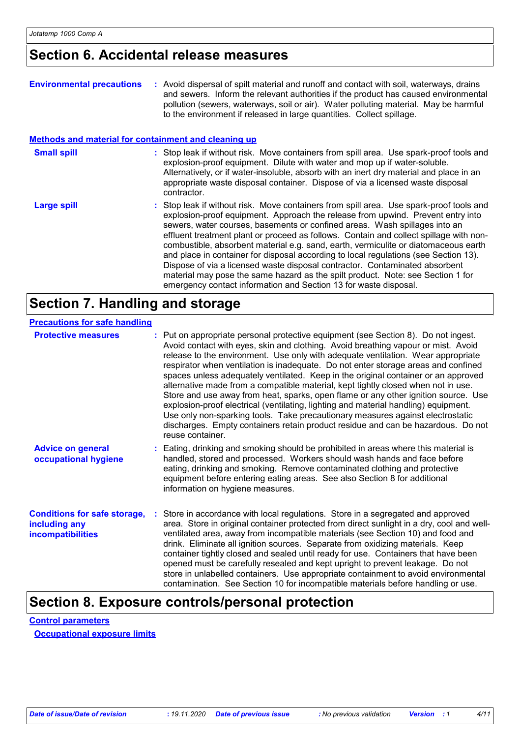## **Section 6. Accidental release measures**

| <b>Environmental precautions</b>                            | : Avoid dispersal of spilt material and runoff and contact with soil, waterways, drains<br>and sewers. Inform the relevant authorities if the product has caused environmental<br>pollution (sewers, waterways, soil or air). Water polluting material. May be harmful<br>to the environment if released in large quantities. Collect spillage.                                                                                                                                                                                                                                                                                                                                                                                                                         |
|-------------------------------------------------------------|-------------------------------------------------------------------------------------------------------------------------------------------------------------------------------------------------------------------------------------------------------------------------------------------------------------------------------------------------------------------------------------------------------------------------------------------------------------------------------------------------------------------------------------------------------------------------------------------------------------------------------------------------------------------------------------------------------------------------------------------------------------------------|
| <b>Methods and material for containment and cleaning up</b> |                                                                                                                                                                                                                                                                                                                                                                                                                                                                                                                                                                                                                                                                                                                                                                         |
| <b>Small spill</b>                                          | : Stop leak if without risk. Move containers from spill area. Use spark-proof tools and<br>explosion-proof equipment. Dilute with water and mop up if water-soluble.<br>Alternatively, or if water-insoluble, absorb with an inert dry material and place in an<br>appropriate waste disposal container. Dispose of via a licensed waste disposal<br>contractor.                                                                                                                                                                                                                                                                                                                                                                                                        |
| <b>Large spill</b>                                          | : Stop leak if without risk. Move containers from spill area. Use spark-proof tools and<br>explosion-proof equipment. Approach the release from upwind. Prevent entry into<br>sewers, water courses, basements or confined areas. Wash spillages into an<br>effluent treatment plant or proceed as follows. Contain and collect spillage with non-<br>combustible, absorbent material e.g. sand, earth, vermiculite or diatomaceous earth<br>and place in container for disposal according to local regulations (see Section 13).<br>Dispose of via a licensed waste disposal contractor. Contaminated absorbent<br>material may pose the same hazard as the spilt product. Note: see Section 1 for<br>emergency contact information and Section 13 for waste disposal. |

## **Section 7. Handling and storage**

| <b>Precautions for safe handling</b>                                      |                                                                                                                                                                                                                                                                                                                                                                                                                                                                                                                                                                                                                                                                                                                                                                                                                                                                                                     |
|---------------------------------------------------------------------------|-----------------------------------------------------------------------------------------------------------------------------------------------------------------------------------------------------------------------------------------------------------------------------------------------------------------------------------------------------------------------------------------------------------------------------------------------------------------------------------------------------------------------------------------------------------------------------------------------------------------------------------------------------------------------------------------------------------------------------------------------------------------------------------------------------------------------------------------------------------------------------------------------------|
| <b>Protective measures</b>                                                | : Put on appropriate personal protective equipment (see Section 8). Do not ingest.<br>Avoid contact with eyes, skin and clothing. Avoid breathing vapour or mist. Avoid<br>release to the environment. Use only with adequate ventilation. Wear appropriate<br>respirator when ventilation is inadequate. Do not enter storage areas and confined<br>spaces unless adequately ventilated. Keep in the original container or an approved<br>alternative made from a compatible material, kept tightly closed when not in use.<br>Store and use away from heat, sparks, open flame or any other ignition source. Use<br>explosion-proof electrical (ventilating, lighting and material handling) equipment.<br>Use only non-sparking tools. Take precautionary measures against electrostatic<br>discharges. Empty containers retain product residue and can be hazardous. Do not<br>reuse container. |
| <b>Advice on general</b><br>occupational hygiene                          | : Eating, drinking and smoking should be prohibited in areas where this material is<br>handled, stored and processed. Workers should wash hands and face before<br>eating, drinking and smoking. Remove contaminated clothing and protective<br>equipment before entering eating areas. See also Section 8 for additional<br>information on hygiene measures.                                                                                                                                                                                                                                                                                                                                                                                                                                                                                                                                       |
| <b>Conditions for safe storage,</b><br>including any<br>incompatibilities | Store in accordance with local regulations. Store in a segregated and approved<br>area. Store in original container protected from direct sunlight in a dry, cool and well-<br>ventilated area, away from incompatible materials (see Section 10) and food and<br>drink. Eliminate all ignition sources. Separate from oxidizing materials. Keep<br>container tightly closed and sealed until ready for use. Containers that have been<br>opened must be carefully resealed and kept upright to prevent leakage. Do not<br>store in unlabelled containers. Use appropriate containment to avoid environmental<br>contamination. See Section 10 for incompatible materials before handling or use.                                                                                                                                                                                                   |

# **Section 8. Exposure controls/personal protection**

**Control parameters**

**Occupational exposure limits**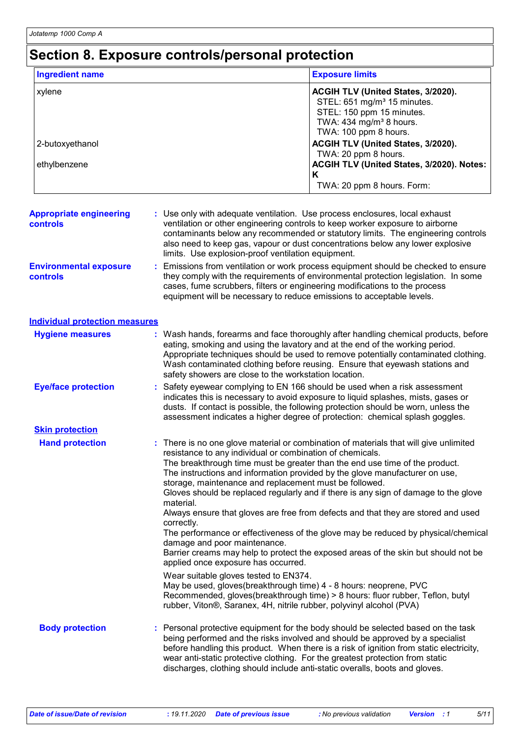## **Section 8. Exposure controls/personal protection**

| <b>Ingredient name</b>                            |                                                                                                                                                             | <b>Exposure limits</b>                                                                                                                                                                                                                                                                                                                                                                                                                                                                                                                                                                                                                                               |
|---------------------------------------------------|-------------------------------------------------------------------------------------------------------------------------------------------------------------|----------------------------------------------------------------------------------------------------------------------------------------------------------------------------------------------------------------------------------------------------------------------------------------------------------------------------------------------------------------------------------------------------------------------------------------------------------------------------------------------------------------------------------------------------------------------------------------------------------------------------------------------------------------------|
| xylene                                            |                                                                                                                                                             | ACGIH TLV (United States, 3/2020).<br>STEL: 651 mg/m <sup>3</sup> 15 minutes.<br>STEL: 150 ppm 15 minutes.<br>TWA: 434 mg/m <sup>3</sup> 8 hours.<br>TWA: 100 ppm 8 hours.                                                                                                                                                                                                                                                                                                                                                                                                                                                                                           |
| 2-butoxyethanol                                   |                                                                                                                                                             | ACGIH TLV (United States, 3/2020).<br>TWA: 20 ppm 8 hours.                                                                                                                                                                                                                                                                                                                                                                                                                                                                                                                                                                                                           |
| ethylbenzene                                      |                                                                                                                                                             | ACGIH TLV (United States, 3/2020). Notes:<br>Κ<br>TWA: 20 ppm 8 hours. Form:                                                                                                                                                                                                                                                                                                                                                                                                                                                                                                                                                                                         |
|                                                   |                                                                                                                                                             |                                                                                                                                                                                                                                                                                                                                                                                                                                                                                                                                                                                                                                                                      |
| <b>Appropriate engineering</b><br><b>controls</b> | limits. Use explosion-proof ventilation equipment.                                                                                                          | : Use only with adequate ventilation. Use process enclosures, local exhaust<br>ventilation or other engineering controls to keep worker exposure to airborne<br>contaminants below any recommended or statutory limits. The engineering controls<br>also need to keep gas, vapour or dust concentrations below any lower explosive                                                                                                                                                                                                                                                                                                                                   |
| <b>Environmental exposure</b><br><b>controls</b>  |                                                                                                                                                             | Emissions from ventilation or work process equipment should be checked to ensure<br>they comply with the requirements of environmental protection legislation. In some<br>cases, fume scrubbers, filters or engineering modifications to the process<br>equipment will be necessary to reduce emissions to acceptable levels.                                                                                                                                                                                                                                                                                                                                        |
| <b>Individual protection measures</b>             |                                                                                                                                                             |                                                                                                                                                                                                                                                                                                                                                                                                                                                                                                                                                                                                                                                                      |
| <b>Hygiene measures</b>                           | safety showers are close to the workstation location.                                                                                                       | : Wash hands, forearms and face thoroughly after handling chemical products, before<br>eating, smoking and using the lavatory and at the end of the working period.<br>Appropriate techniques should be used to remove potentially contaminated clothing.<br>Wash contaminated clothing before reusing. Ensure that eyewash stations and                                                                                                                                                                                                                                                                                                                             |
| <b>Eye/face protection</b>                        |                                                                                                                                                             | Safety eyewear complying to EN 166 should be used when a risk assessment<br>indicates this is necessary to avoid exposure to liquid splashes, mists, gases or<br>dusts. If contact is possible, the following protection should be worn, unless the<br>assessment indicates a higher degree of protection: chemical splash goggles.                                                                                                                                                                                                                                                                                                                                  |
| <b>Skin protection</b>                            |                                                                                                                                                             |                                                                                                                                                                                                                                                                                                                                                                                                                                                                                                                                                                                                                                                                      |
| <b>Hand protection</b>                            | resistance to any individual or combination of chemicals.<br>material.<br>correctly.<br>damage and poor maintenance.<br>applied once exposure has occurred. | : There is no one glove material or combination of materials that will give unlimited<br>The breakthrough time must be greater than the end use time of the product.<br>The instructions and information provided by the glove manufacturer on use,<br>storage, maintenance and replacement must be followed.<br>Gloves should be replaced regularly and if there is any sign of damage to the glove<br>Always ensure that gloves are free from defects and that they are stored and used<br>The performance or effectiveness of the glove may be reduced by physical/chemical<br>Barrier creams may help to protect the exposed areas of the skin but should not be |
|                                                   | Wear suitable gloves tested to EN374.                                                                                                                       | May be used, gloves(breakthrough time) 4 - 8 hours: neoprene, PVC<br>Recommended, gloves(breakthrough time) > 8 hours: fluor rubber, Teflon, butyl<br>rubber, Viton®, Saranex, 4H, nitrile rubber, polyvinyl alcohol (PVA)                                                                                                                                                                                                                                                                                                                                                                                                                                           |
| <b>Body protection</b>                            |                                                                                                                                                             | Personal protective equipment for the body should be selected based on the task<br>being performed and the risks involved and should be approved by a specialist<br>before handling this product. When there is a risk of ignition from static electricity,<br>wear anti-static protective clothing. For the greatest protection from static<br>discharges, clothing should include anti-static overalls, boots and gloves.                                                                                                                                                                                                                                          |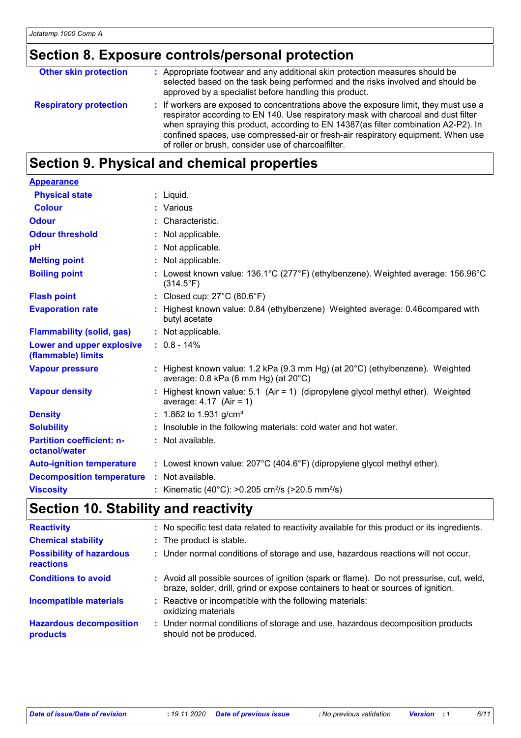# **Section 8. Exposure controls/personal protection**

| <b>Respiratory protection</b> | : If workers are exposed to concentrations above the exposure limit, they must use a<br>respirator according to EN 140. Use respiratory mask with charcoal and dust filter<br>when spraying this product, according to EN 14387(as filter combination A2-P2). In<br>confined spaces, use compressed-air or fresh-air respiratory equipment. When use<br>of roller or brush, consider use of charcoalfilter. |
|-------------------------------|-------------------------------------------------------------------------------------------------------------------------------------------------------------------------------------------------------------------------------------------------------------------------------------------------------------------------------------------------------------------------------------------------------------|

# **Section 9. Physical and chemical properties**

| <b>Appearance</b>                                 |                                                                                                                                   |
|---------------------------------------------------|-----------------------------------------------------------------------------------------------------------------------------------|
| <b>Physical state</b>                             | $:$ Liquid.                                                                                                                       |
| <b>Colour</b>                                     | : Various                                                                                                                         |
| <b>Odour</b>                                      | : Characteristic.                                                                                                                 |
| <b>Odour threshold</b>                            | : Not applicable.                                                                                                                 |
| pH                                                | : Not applicable.                                                                                                                 |
| <b>Melting point</b>                              | : Not applicable.                                                                                                                 |
| <b>Boiling point</b>                              | : Lowest known value: $136.1^{\circ}$ C (277°F) (ethylbenzene). Weighted average: $156.96^{\circ}$ C<br>$(314.5^{\circ}F)$        |
| <b>Flash point</b>                                | : Closed cup: $27^{\circ}$ C (80.6 $^{\circ}$ F)                                                                                  |
| <b>Evaporation rate</b>                           | : Highest known value: 0.84 (ethylbenzene) Weighted average: 0.46 compared with<br>butyl acetate                                  |
| <b>Flammability (solid, gas)</b>                  | : Not applicable.                                                                                                                 |
| Lower and upper explosive<br>(flammable) limits   | $: 0.8 - 14\%$                                                                                                                    |
| <b>Vapour pressure</b>                            | : Highest known value: 1.2 kPa (9.3 mm Hg) (at 20°C) (ethylbenzene). Weighted<br>average: $0.8$ kPa (6 mm Hg) (at $20^{\circ}$ C) |
| <b>Vapour density</b>                             | : Highest known value: 5.1 (Air = 1) (dipropylene glycol methyl ether). Weighted<br>average: $4.17$ (Air = 1)                     |
| <b>Density</b>                                    | : 1.862 to 1.931 g/cm <sup>3</sup>                                                                                                |
| <b>Solubility</b>                                 | : Insoluble in the following materials: cold water and hot water.                                                                 |
| <b>Partition coefficient: n-</b><br>octanol/water | : Not available.                                                                                                                  |
| <b>Auto-ignition temperature</b>                  | : Lowest known value: $207^{\circ}$ C (404.6°F) (dipropylene glycol methyl ether).                                                |
| <b>Decomposition temperature</b>                  | : Not available.                                                                                                                  |
| <b>Viscosity</b>                                  | : Kinematic (40°C): >0.205 cm <sup>2</sup> /s (>20.5 mm <sup>2</sup> /s)                                                          |

# **Section 10. Stability and reactivity**

| <b>Reactivity</b>                            | : No specific test data related to reactivity available for this product or its ingredients.                                                                                 |
|----------------------------------------------|------------------------------------------------------------------------------------------------------------------------------------------------------------------------------|
| <b>Chemical stability</b>                    | : The product is stable.                                                                                                                                                     |
| <b>Possibility of hazardous</b><br>reactions | : Under normal conditions of storage and use, hazardous reactions will not occur.                                                                                            |
| <b>Conditions to avoid</b>                   | : Avoid all possible sources of ignition (spark or flame). Do not pressurise, cut, weld,<br>braze, solder, drill, grind or expose containers to heat or sources of ignition. |
| Incompatible materials                       | : Reactive or incompatible with the following materials:<br>oxidizing materials                                                                                              |
| <b>Hazardous decomposition</b><br>products   | : Under normal conditions of storage and use, hazardous decomposition products<br>should not be produced.                                                                    |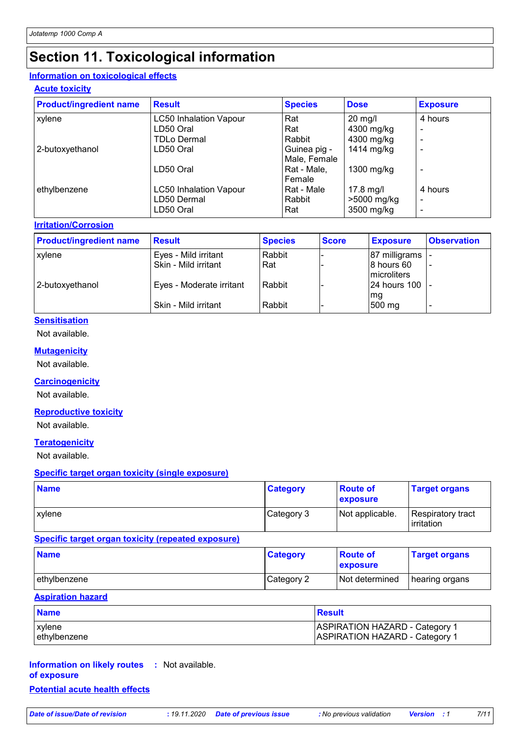# **Section 11. Toxicological information**

### **Information on toxicological effects**

### **Acute toxicity**

| <b>Product/ingredient name</b> | <b>Result</b>                 | <b>Species</b> | <b>Dose</b> | <b>Exposure</b> |
|--------------------------------|-------------------------------|----------------|-------------|-----------------|
| xylene                         | <b>LC50 Inhalation Vapour</b> | Rat            | $20$ mg/l   | 4 hours         |
|                                | LD50 Oral                     | Rat            | 4300 mg/kg  | $\blacksquare$  |
|                                | <b>TDLo Dermal</b>            | Rabbit         | 4300 mg/kg  |                 |
| 2-butoxyethanol                | LD50 Oral                     | Guinea pig -   | 1414 mg/kg  |                 |
|                                |                               | Male, Female   |             |                 |
|                                | LD50 Oral                     | Rat - Male.    | 1300 mg/kg  |                 |
|                                |                               | Female         |             |                 |
| ethylbenzene                   | <b>LC50 Inhalation Vapour</b> | Rat - Male     | 17.8 mg/l   | 4 hours         |
|                                | LD50 Dermal                   | Rabbit         | >5000 mg/kg | $\blacksquare$  |
|                                | LD50 Oral                     | Rat            | 3500 mg/kg  |                 |

### **Irritation/Corrosion**

| <b>Product/ingredient name</b> | <b>Result</b>            | <b>Species</b> | <b>Score</b> | <b>Exposure</b>            | <b>Observation</b> |
|--------------------------------|--------------------------|----------------|--------------|----------------------------|--------------------|
| xylene                         | Eyes - Mild irritant     | Rabbit         |              | 87 milligrams              |                    |
|                                | Skin - Mild irritant     | Rat            |              | 8 hours 60<br>Imicroliters |                    |
| 2-butoxyethanol                | Eyes - Moderate irritant | Rabbit         |              | 24 hours 100<br>mg         |                    |
|                                | Skin - Mild irritant     | Rabbit         |              | 500 mg                     |                    |

### **Sensitisation**

Not available.

#### **Mutagenicity**

Not available.

### **Carcinogenicity**

Not available.

### **Reproductive toxicity**

Not available.

#### **Teratogenicity**

Not available.

### **Specific target organ toxicity (single exposure)**

| <b>Name</b> | <b>Category</b> | <b>Route of</b><br>exposure | <b>Target organs</b>                     |
|-------------|-----------------|-----------------------------|------------------------------------------|
| l xvlene    | Category 3      | Not applicable.             | Respiratory tract<br><b>l</b> irritation |

### **Specific target organ toxicity (repeated exposure)**

| <b>Name</b>  | <b>Category</b> | <b>Boute of</b><br><b>Exposure</b> | <b>Target organs</b> |
|--------------|-----------------|------------------------------------|----------------------|
| ethylbenzene | Category 2      | <b>Not determined</b>              | hearing organs       |

#### **Aspiration hazard**

| <b>Name</b>  | <b>Result</b>                         |
|--------------|---------------------------------------|
| l xvlene     | <b>ASPIRATION HAZARD - Category 1</b> |
| ethylbenzene | <b>ASPIRATION HAZARD - Category 1</b> |

### **Information on likely routes :** Not available. **of exposure Potential acute health effects**

*Date of issue/Date of revision* **:** *19.11.2020 Date of previous issue : No previous validation Version : 1 7/11*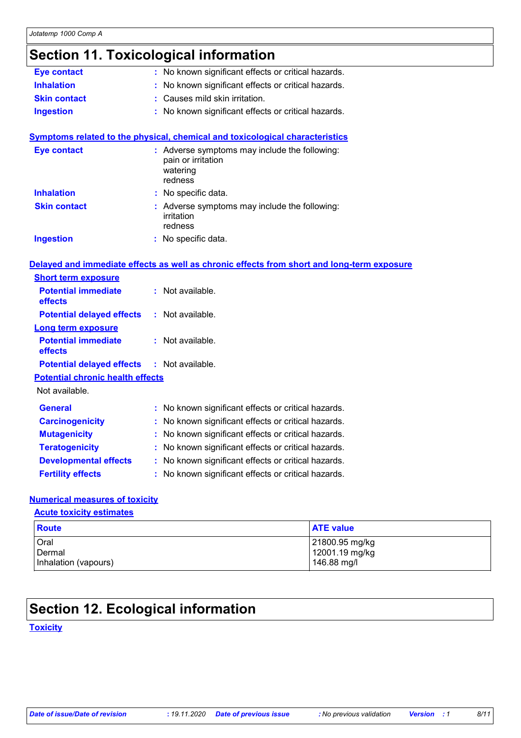# **Section 11. Toxicological information**

| <b>Eye contact</b>                      | No known significant effects or critical hazards.                                          |  |
|-----------------------------------------|--------------------------------------------------------------------------------------------|--|
| <b>Inhalation</b>                       | No known significant effects or critical hazards.                                          |  |
| <b>Skin contact</b>                     | Causes mild skin irritation.                                                               |  |
| <b>Ingestion</b>                        | No known significant effects or critical hazards.                                          |  |
|                                         |                                                                                            |  |
|                                         | <b>Symptoms related to the physical, chemical and toxicological characteristics</b>        |  |
| <b>Eye contact</b>                      | : Adverse symptoms may include the following:<br>pain or irritation<br>watering<br>redness |  |
| <b>Inhalation</b>                       | No specific data.                                                                          |  |
| <b>Skin contact</b>                     | : Adverse symptoms may include the following:<br>irritation<br>redness                     |  |
| <b>Ingestion</b>                        | : No specific data.                                                                        |  |
|                                         | Delayed and immediate effects as well as chronic effects from short and long-term exposure |  |
| <b>Short term exposure</b>              |                                                                                            |  |
| <b>Potential immediate</b><br>effects   | : Not available.                                                                           |  |
| <b>Potential delayed effects</b>        | : Not available.                                                                           |  |
| <b>Long term exposure</b>               |                                                                                            |  |
| <b>Potential immediate</b><br>effects   | : Not available.                                                                           |  |
| <b>Potential delayed effects</b>        | : Not available.                                                                           |  |
| <b>Potential chronic health effects</b> |                                                                                            |  |
| Not available.                          |                                                                                            |  |
| General                                 | : No known significant effects or critical hazards.                                        |  |
| <b>Carcinogenicity</b>                  | No known significant effects or critical hazards.                                          |  |
| <b>Mutagenicity</b>                     | No known significant effects or critical hazards.                                          |  |
| <b>Teratogenicity</b>                   | No known significant effects or critical hazards.                                          |  |
| <b>Developmental effects</b>            | No known significant effects or critical hazards.                                          |  |
| <b>Fertility effects</b>                | No known significant effects or critical hazards.                                          |  |

### **Numerical measures of toxicity**

### **Acute toxicity estimates**

| <b>Route</b>         | <b>ATE value</b> |
|----------------------|------------------|
| Oral                 | 21800.95 mg/kg   |
| Dermal               | 12001.19 mg/kg   |
| Inhalation (vapours) | 146.88 mg/l      |

## **Section 12. Ecological information**

### **Toxicity**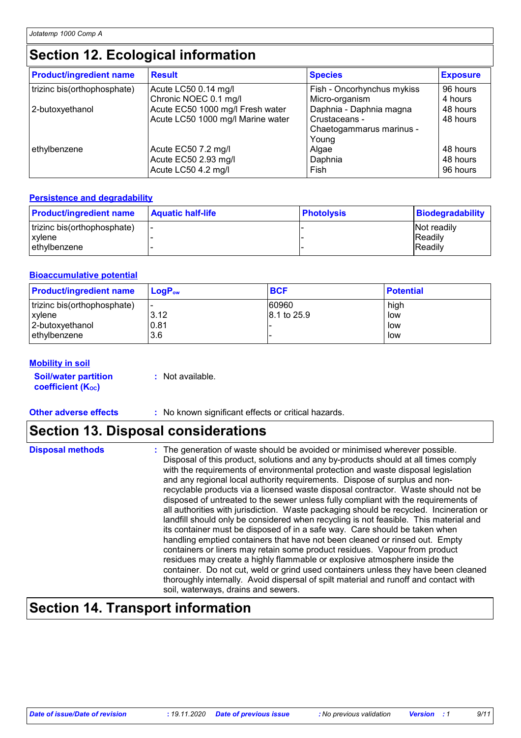## **Section 12. Ecological information**

| <b>Product/ingredient name</b> | <b>Result</b>                     | <b>Species</b>                             | <b>Exposure</b> |
|--------------------------------|-----------------------------------|--------------------------------------------|-----------------|
| trizinc bis(orthophosphate)    | Acute LC50 0.14 mg/l              | Fish - Oncorhynchus mykiss                 | 96 hours        |
|                                | Chronic NOEC 0.1 mg/l             | Micro-organism                             | 4 hours         |
| 2-butoxyethanol                | Acute EC50 1000 mg/l Fresh water  | Daphnia - Daphnia magna                    | 48 hours        |
|                                | Acute LC50 1000 mg/l Marine water | Crustaceans -                              | 48 hours        |
| ethylbenzene                   | Acute EC50 7.2 mg/l               | Chaetogammarus marinus -<br>Young<br>Algae | 48 hours        |
|                                | Acute EC50 2.93 mg/l              | Daphnia                                    | 48 hours        |
|                                | Acute LC50 4.2 mg/l               | Fish                                       | 96 hours        |

### **Persistence and degradability**

| <b>Product/ingredient name</b> | <b>Aquatic half-life</b> | <b>Photolysis</b> | Biodegradability |
|--------------------------------|--------------------------|-------------------|------------------|
| trizinc bis(orthophosphate)    | . .                      |                   | Not readily      |
| xylene                         |                          |                   | <b>Readily</b>   |
| ethylbenzene                   |                          |                   | Readily          |

### **Bioaccumulative potential**

| <b>Product/ingredient name</b> | $LoaPow$ | <b>BCF</b>  | <b>Potential</b> |
|--------------------------------|----------|-------------|------------------|
| trizinc bis(orthophosphate)    | 3.12     | 60960       | high             |
| xylene                         |          | 8.1 to 25.9 | low              |
| 2-butoxyethanol                | 0.81     |             | low              |
| l ethvlbenzene                 | 3.6      |             | low              |

#### **Mobility in soil**

**Soil/water partition coefficient (KOC)**

**:** Not available.

**Other adverse effects :** No known significant effects or critical hazards.

## **Section 13. Disposal considerations**

| <b>Disposal methods</b> |
|-------------------------|

**Disposal methods** : The generation of waste should be avoided or minimised wherever possible. Disposal of this product, solutions and any by-products should at all times comply with the requirements of environmental protection and waste disposal legislation and any regional local authority requirements. Dispose of surplus and nonrecyclable products via a licensed waste disposal contractor. Waste should not be disposed of untreated to the sewer unless fully compliant with the requirements of all authorities with jurisdiction. Waste packaging should be recycled. Incineration or landfill should only be considered when recycling is not feasible. This material and its container must be disposed of in a safe way. Care should be taken when handling emptied containers that have not been cleaned or rinsed out. Empty containers or liners may retain some product residues. Vapour from product residues may create a highly flammable or explosive atmosphere inside the container. Do not cut, weld or grind used containers unless they have been cleaned thoroughly internally. Avoid dispersal of spilt material and runoff and contact with soil, waterways, drains and sewers.

## **Section 14. Transport information**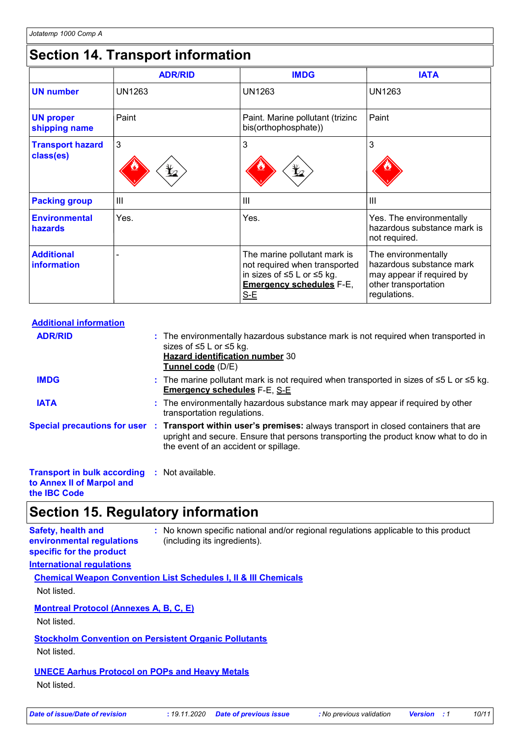# **Section 14. Transport information**

|                                         | <b>ADR/RID</b> | <b>IMDG</b>                                                                                                                             | <b>IATA</b>                                                                                                          |
|-----------------------------------------|----------------|-----------------------------------------------------------------------------------------------------------------------------------------|----------------------------------------------------------------------------------------------------------------------|
| <b>UN number</b>                        | <b>UN1263</b>  | <b>UN1263</b>                                                                                                                           | <b>UN1263</b>                                                                                                        |
| <b>UN proper</b><br>shipping name       | Paint          | Paint. Marine pollutant (trizinc<br>bis(orthophosphate))                                                                                | Paint                                                                                                                |
| <b>Transport hazard</b><br>class(es)    | 3<br>$\bigvee$ | 3<br>$\mathbf{\mathbf{\mathbf{\mathbf{\mathbf{\mathbf{\mathbf{Y}}}}}}$                                                                  | 3                                                                                                                    |
| <b>Packing group</b>                    | III            | III                                                                                                                                     | $\mathbf{III}$                                                                                                       |
| <b>Environmental</b><br>hazards         | Yes.           | Yes.                                                                                                                                    | Yes. The environmentally<br>hazardous substance mark is<br>not required.                                             |
| <b>Additional</b><br><b>information</b> |                | The marine pollutant mark is<br>not required when transported<br>in sizes of ≤5 L or ≤5 kg.<br><b>Emergency schedules F-E,</b><br>$S-E$ | The environmentally<br>hazardous substance mark<br>may appear if required by<br>other transportation<br>regulations. |

| <b>Additional information</b>                                                                    |                                                                                                                                                                                                                                                 |
|--------------------------------------------------------------------------------------------------|-------------------------------------------------------------------------------------------------------------------------------------------------------------------------------------------------------------------------------------------------|
| <b>ADR/RID</b>                                                                                   | : The environmentally hazardous substance mark is not required when transported in<br>sizes of ≤5 L or ≤5 kg.<br><b>Hazard identification number 30</b><br>Tunnel code (D/E)                                                                    |
| <b>IMDG</b>                                                                                      | : The marine pollutant mark is not required when transported in sizes of $\leq 5$ L or $\leq 5$ kg.<br><b>Emergency schedules F-E, S-E</b>                                                                                                      |
| <b>IATA</b>                                                                                      | : The environmentally hazardous substance mark may appear if required by other<br>transportation regulations.                                                                                                                                   |
|                                                                                                  | Special precautions for user : Transport within user's premises: always transport in closed containers that are<br>upright and secure. Ensure that persons transporting the product know what to do in<br>the event of an accident or spillage. |
| <b>Transport in bulk according : Not available.</b><br>All Allen and Hills All and all and Hills |                                                                                                                                                                                                                                                 |

**to Annex II of Marpol and the IBC Code**

# **Section 15. Regulatory information**

| <b>Safety, health and</b><br>environmental regulations<br>specific for the product | : No known specific national and/or regional regulations applicable to this product<br>(including its ingredients). |
|------------------------------------------------------------------------------------|---------------------------------------------------------------------------------------------------------------------|
| <b>International requiations</b>                                                   |                                                                                                                     |

**Chemical Weapon Convention List Schedules I, II & III Chemicals** Not listed.

**Montreal Protocol (Annexes A, B, C, E)**

Not listed.

**Stockholm Convention on Persistent Organic Pollutants**

Not listed.

## **UNECE Aarhus Protocol on POPs and Heavy Metals**

Not listed.